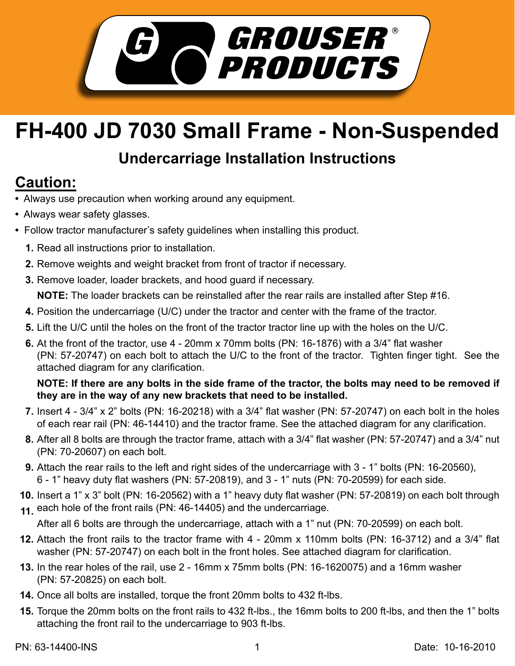

## **FH-400 JD 7030 Small Frame - Non-Suspended**

## **Undercarriage Installation Instructions**

## **Caution:**

- Always use precaution when working around any equipment.
- Always wear safety glasses.
- Follow tractor manufacturer's safety guidelines when installing this product.
	- **1.** Read all instructions prior to installation.
	- 2. Remove weights and weight bracket from front of tractor if necessary.
	- **3.** Remove loader, loader brackets, and hood guard if necessary.

**NOTE:** The loader brackets can be reinstalled after the rear rails are installed after Step #16.

- **4.** Position the undercarriage (U/C) under the tractor and center with the frame of the tractor.
- **5.** Lift the U/C until the holes on the front of the tractor tractor line up with the holes on the U/C.
- **6.** At the front of the tractor, use 4 20mm x 70mm bolts (PN: 16-1876) with a 3/4" flat washer (PN: 57-20747) on each bolt to attach the U/C to the front of the tractor. Tighten finger tight. See the attached diagram for any clarification.

## **NOTE: If there are any bolts in the side frame of the tractor, the bolts may need to be removed if they are in the way of any new brackets that need to be installed.**

- Insert 4 3/4" x 2" bolts (PN: 16-20218) with a 3/4" flat washer (PN: 57-20747) on each bolt in the holes **7.** of each rear rail (PN: 46-14410) and the tractor frame. See the attached diagram for any clarification.
- After all 8 bolts are through the tractor frame, attach with a 3/4" flat washer (PN: 57-20747) and a 3/4" nut **8.** (PN: 70-20607) on each bolt.
- Attach the rear rails to the left and right sides of the undercarriage with 3 1" bolts (PN: 16-20560), **9.** 6 - 1" heavy duty flat washers (PN: 57-20819), and 3 - 1" nuts (PN: 70-20599) for each side.
- **10.** Insert a 1" x 3" bolt (PN: 16-20562) with a 1" heavy duty flat washer (PN: 57-20819) on each bolt through each hole of the front rails (PN: 46-14405) and the undercarriage. **11.**

After all 6 bolts are through the undercarriage, attach with a 1" nut (PN: 70-20599) on each bolt.

- Attach the front rails to the tractor frame with 4 20mm x 110mm bolts (PN: 16-3712) and a 3/4" flat **12.** washer (PN: 57-20747) on each bolt in the front holes. See attached diagram for clarification.
- In the rear holes of the rail, use 2 16mm x 75mm bolts (PN: 16-1620075) and a 16mm washer **13.** (PN: 57-20825) on each bolt.
- **14.** Once all bolts are installed, torque the front 20mm bolts to 432 ft-lbs.
- **15.** Torque the 20mm bolts on the front rails to 432 ft-lbs., the 16mm bolts to 200 ft-lbs, and then the 1" bolts attaching the front rail to the undercarriage to 903 ft-lbs.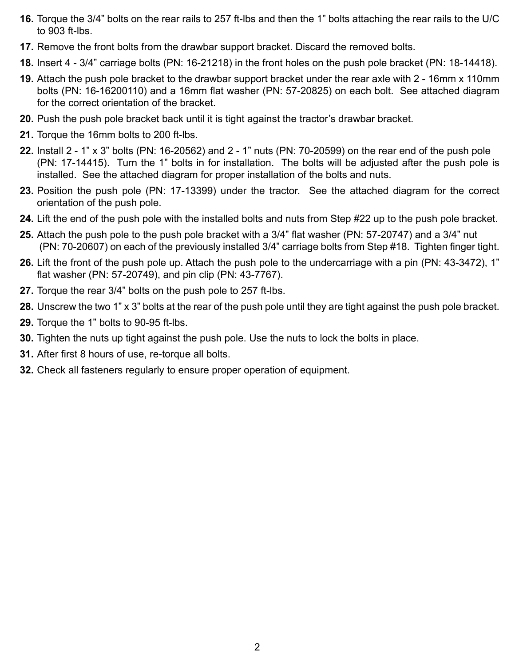- **16.** Torque the 3/4" bolts on the rear rails to 257 ft-Ibs and then the 1" bolts attaching the rear rails to the U/C to 903 ft-lbs.
- 17. Remove the front bolts from the drawbar support bracket. Discard the removed bolts.
- **18.** Insert 4 3/4" carriage bolts (PN: 16-21218) in the front holes on the push pole bracket (PN: 18-14418).
- Attach the push pole bracket to the drawbar support bracket under the rear axle with 2 16mm x 110mm **19.** bolts (PN: 16-16200110) and a 16mm flat washer (PN: 57-20825) on each bolt. See attached diagram for the correct orientation of the bracket.
- 20. Push the push pole bracket back until it is tight against the tractor's drawbar bracket.
- **21.** Torque the 16mm bolts to 200 ft-lbs.
- Install 2 1" x 3" bolts (PN: 16-20562) and 2 1" nuts (PN: 70-20599) on the rear end of the push pole **22.** (PN: 17-14415). Turn the 1" bolts in for installation. The bolts will be adjusted after the push pole is installed. See the attached diagram for proper installation of the bolts and nuts.
- 23. Position the push pole (PN: 17-13399) under the tractor. See the attached diagram for the correct orientation of the push pole.
- 24. Lift the end of the push pole with the installed bolts and nuts from Step #22 up to the push pole bracket.
- **25.** Attach the push pole to the push pole bracket with a 3/4" flat washer (PN: 57-20747) and a 3/4" nut (PN: 70-20607) on each of the previously installed 3/4" carriage bolts from Step #18. Tighten finger tight.
- Lift the front of the push pole up. Attach the push pole to the undercarriage with a pin (PN: 43-3472), 1" **26.** flat washer (PN: 57-20749), and pin clip (PN: 43-7767).
- **27.** Torque the rear 3/4" bolts on the push pole to 257 ft-lbs.
- Unscrew the two 1" x 3" bolts at the rear of the push pole until they are tight against the push pole bracket. **28.**
- **29.** Torque the 1" bolts to 90-95 ft-lbs.
- **30.** Tighten the nuts up tight against the push pole. Use the nuts to lock the bolts in place.
- **31.** After first 8 hours of use, re-torque all bolts.
- Check all fasteners regularly to ensure proper operation of equipment. **32.**